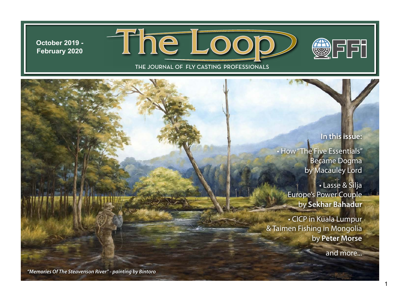**October 2019 - February 2020**





# **In this issue:**

● 下下 ●

• How "The Five Essentials" Became Dogma by Macauley Lord

> • Lasse & Silja Europe's Power Couple by **Sekhar Bahadur**

• CICP in Kuala Lumpur & Taimen Fishing in Mongolia by **Peter Morse**

and more...

*"Memories Of The Steavenson River" - painting by Bintoro*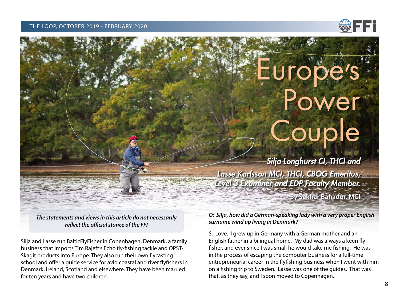#### THE LOOP, OCTOBER 2019 - FEBRUARY 2020



# Europe<sup>"</sup> s Power **Couple**

*Silja Longhurst CI, THCI and Lasse Karlsson MCI, THCI, CBOG Emeritus, Level 3 Examiner and EDP Faculty Member.*

**By Sekhar Bahadur, MCI**

*The statements and views in this article do not necessarily reflect the official stance of the FFI*

Silja and Lasse run BalticFlyFisher in Copenhagen, Denmark, a family business that imports Tim Rajeff's Echo fly-fishing tackle and OPST-Skagit products into Europe. They also run their own flycasting school and offer a guide service for avid coastal and river flyfishers in Denmark, Ireland, Scotland and elsewhere. They have been married for ten years and have two children.

*Q: Silja, how did a German-speaking lady with a very proper English surname wind up living in Denmark?*

S: Love. I grew up in Germany with a German mother and an English father in a bilingual home. My dad was always a keen fly fisher, and ever since I was small he would take me fishing. He was in the process of escaping the computer business for a full-time entrepreneurial career in the flyfishing business when I went with him on a fishing trip to Sweden. Lasse was one of the guides. That was that, as they say, and I soon moved to Copenhagen.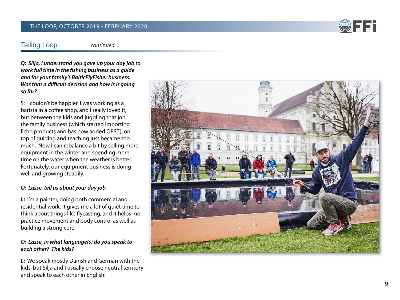#### THE LOOP, OCTOBER 2019 - FEBRUARY 2020

# **SEPTE**

# Tailing Loop

*continued ...*

*Q: Silja, I understand you gave up your day job to work full time in the fishing business as a guide and for your family's BalticFlyFisher business. Was that a difficult decision and how is it going so far?*

S: I couldn't be happier. I was working as a barista in a coffee shop, and I really loved it, but between the kids and juggling that job, the family business (which started importing Echo products and has now added OPST), on top of guiding and teaching just became too much. Now I can rebalance a bit by selling more equipment in the winter and spending more time on the water when the weather is better. Fortunately, our equipment business is doing well and growing steadily.

# *Q: Lasse, tell us about your day job.*

*L:* I'm a painter, doing both commercial and residential work. It gives me a lot of quiet time to think about things like flycasting, and it helps me practice movement and body control as well as building a strong core!

# *Q: Lasse, in what language(s) do you speak to each other? The kids?*

*L:* We speak mostly Danish and German with the kids, but Silja and I usually choose neutral territory and speak to each other in English!

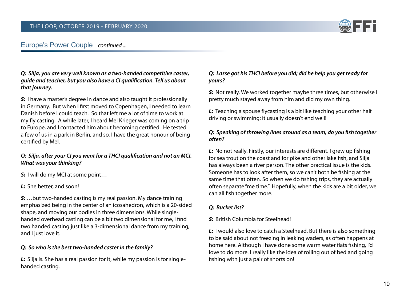

# Europe's Power Couple continued...

*Q: Silja, you are very well known as a two-handed competitive caster, guide and teacher, but you also have a CI qualification. Tell us about that journey.*

*S:* I have a master's degree in dance and also taught it professionally in Germany. But when I first moved to Copenhagen, I needed to learn Danish before I could teach. So that left me a lot of time to work at my fly casting. A while later, I heard Mel Krieger was coming on a trip to Europe, and I contacted him about becoming certified. He tested a few of us in a park in Berlin, and so, I have the great honour of being certified by Mel.

# *Q: Silja, after your CI you went for a THCI qualification and not an MCI. What was your thinking?*

*S:* I will do my MCI at some point…

*L:* She better, and soon!

*S:* …but two-handed casting is my real passion. My dance training emphasized being in the center of an icosahedron, which is a 20-sided shape, and moving our bodies in three dimensions. While singlehanded overhead casting can be a bit two dimensional for me, I find two handed casting just like a 3-dimensional dance from my training, and I just love it.

#### *Q: So who is the best two-handed caster in the family?*

*L:* Silja is. She has a real passion for it, while my passion is for singlehanded casting.

# *Q: Lasse got his THCI before you did; did he help you get ready for yours?*

*S:* Not really. We worked together maybe three times, but otherwise I pretty much stayed away from him and did my own thing.

*L:* Teaching a spouse flycasting is a bit like teaching your other half driving or swimming; it usually doesn't end well!

# *Q: Speaking of throwing lines around as a team, do you fish together often?*

*L:* No not really. Firstly, our interests are different. I grew up fishing for sea trout on the coast and for pike and other lake fish, and Silja has always been a river person. The other practical issue is the kids. Someone has to look after them, so we can't both be fishing at the same time that often. So when we do fishing trips, they are actually often separate "me time." Hopefully, when the kids are a bit older, we can all fish together more.

# *Q: Bucket list?*

# *S:* British Columbia for Steelhead!

*L:* I would also love to catch a Steelhead. But there is also something to be said about not freezing in leaking waders, as often happens at home here. Although I have done some warm water flats fishing, I'd love to do more. I really like the idea of rolling out of bed and going fishing with just a pair of shorts on!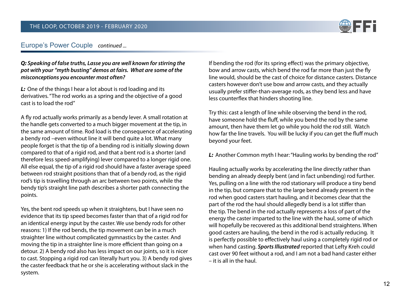

# Europe's Power Couple *continued ...*

#### *Q: Speaking of false truths, Lasse you are well known for stirring the pot with your "myth busting" demos at fairs. What are some of the misconceptions you encounter most often?*

*L:* One of the things I hear a lot about is rod loading and its derivatives. "The rod works as a spring and the objective of a good cast is to load the rod"

A fly rod actually works primarily as a bendy lever. A small rotation at the handle gets converted to a much bigger movement at the tip, in the same amount of time. Rod load is the consequence of accelerating a bendy rod –even without line it will bend quite a lot. What many people forget is that the tip of a bending rod is initially slowing down compared to that of a rigid rod, and that a bent rod is a shorter (and therefore less speed-amplifying) lever compared to a longer rigid one. All else equal, the tip of a rigid rod should have a faster average speed between rod straight positions than that of a bendy rod, as the rigid rod's tip is travelling through an arc between two points, while the bendy tip's straight line path describes a shorter path connecting the points.

Yes, the bent rod speeds up when it straightens, but I have seen no evidence that its tip speed becomes faster than that of a rigid rod for an identical energy input by the caster. We use bendy rods for other reasons: 1) If the rod bends, the tip movement can be in a much straighter line without complicated gymnastics by the caster. And moving the tip in a straighter line is more efficient than going on a detour. 2) A bendy rod also has less impact on our joints, so it is nicer to cast. Stopping a rigid rod can literally hurt you. 3) A bendy rod gives the caster feedback that he or she is accelerating without slack in the system.

If bending the rod (for its spring effect) was the primary objective, bow and arrow casts, which bend the rod far more than just the fly line would, should be the cast of choice for distance casters. Distance casters however don't use bow and arrow casts, and they actually usually prefer stiffer-than-average rods, as they bend less and have less counterflex that hinders shooting line.

Try this: cast a length of line while observing the bend in the rod, have someone hold the fluff, while you bend the rod by the same amount, then have them let go while you hold the rod still. Watch how far the line travels. You will be lucky if you can get the fluff much beyond your feet.

*L:* Another Common myth I hear: "Hauling works by bending the rod"

Hauling actually works by accelerating the line directly rather than bending an already deeply bent (and in fact unbending) rod further. Yes, pulling on a line with the rod stationary will produce a tiny bend in the tip, but compare that to the large bend already present in the rod when good casters start hauling, and it becomes clear that the part of the rod the haul should allegedly bend is a lot stiffer than the tip. The bend in the rod actually represents a loss of part of the energy the caster imparted to the line with the haul, some of which will hopefully be recovered as this additional bend straightens. When good casters are hauling, the bend in the rod is actually reducing. It is perfectly possible to effectively haul using a completely rigid rod or when hand casting. *Sports Illustrated* reported that Lefty Kreh could cast over 90 feet without a rod, and I am not a bad hand caster either – it is all in the haul.